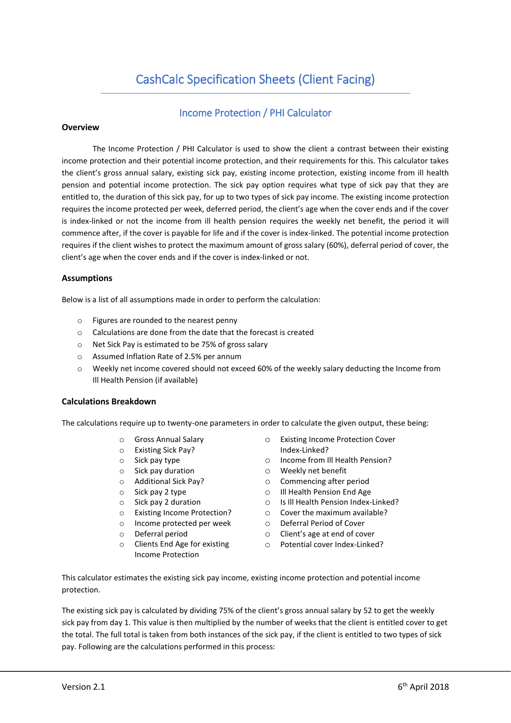# CashCalc Specification Sheets (Client Facing)

## Income Protection / PHI Calculator

#### **Overview**

The Income Protection / PHI Calculator is used to show the client a contrast between their existing income protection and their potential income protection, and their requirements for this. This calculator takes the client's gross annual salary, existing sick pay, existing income protection, existing income from ill health pension and potential income protection. The sick pay option requires what type of sick pay that they are entitled to, the duration of this sick pay, for up to two types of sick pay income. The existing income protection requires the income protected per week, deferred period, the client's age when the cover ends and if the cover is index-linked or not the income from ill health pension requires the weekly net benefit, the period it will commence after, if the cover is payable for life and if the cover is index-linked. The potential income protection requires if the client wishes to protect the maximum amount of gross salary (60%), deferral period of cover, the client's age when the cover ends and if the cover is index-linked or not.

### **Assumptions**

Below is a list of all assumptions made in order to perform the calculation:

- o Figures are rounded to the nearest penny
- o Calculations are done from the date that the forecast is created
- o Net Sick Pay is estimated to be 75% of gross salary
- o Assumed Inflation Rate of 2.5% per annum
- o Weekly net income covered should not exceed 60% of the weekly salary deducting the Income from Ill Health Pension (if available)

#### **Calculations Breakdown**

The calculations require up to twenty-one parameters in order to calculate the given output, these being:

- o Gross Annual Salary
- o Existing Sick Pay?
- o Sick pay type
- o Sick pay duration
- o Additional Sick Pay?
- o Sick pay 2 type
- o Sick pay 2 duration
- o Existing Income Protection?
- o Income protected per week
- o Deferral period
- o Clients End Age for existing Income Protection
- o Existing Income Protection Cover Index-Linked?
- o Income from Ill Health Pension?
- o Weekly net benefit
- o Commencing after period
- o Ill Health Pension End Age
- o Is Ill Health Pension Index-Linked?
- o Cover the maximum available?
	- o Deferral Period of Cover
		- o Client's age at end of cover
		- o Potential cover Index-Linked?

This calculator estimates the existing sick pay income, existing income protection and potential income protection.

The existing sick pay is calculated by dividing 75% of the client's gross annual salary by 52 to get the weekly sick pay from day 1. This value is then multiplied by the number of weeks that the client is entitled cover to get the total. The full total is taken from both instances of the sick pay, if the client is entitled to two types of sick pay. Following are the calculations performed in this process: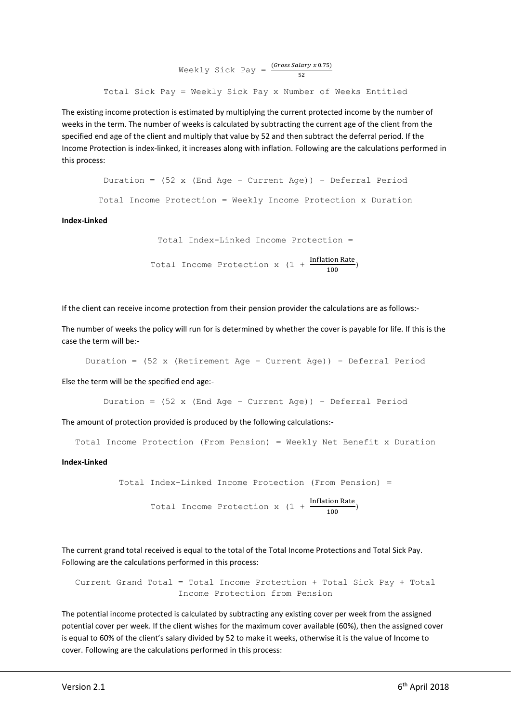```
Weekly Sick Pay = \frac{(Gross \, salary \, x \, 0.75)}{52}Total Sick Pay = Weekly Sick Pay x Number of Weeks Entitled
```
The existing income protection is estimated by multiplying the current protected income by the number of weeks in the term. The number of weeks is calculated by subtracting the current age of the client from the specified end age of the client and multiply that value by 52 and then subtract the deferral period. If the Income Protection is index-linked, it increases along with inflation. Following are the calculations performed in this process:

Duration = (52 x (End Age – Current Age)) – Deferral Period Total Income Protection = Weekly Income Protection x Duration

**Index-Linked**

Total Index-Linked Income Protection =

Total Income Protection x  $(1 + \frac{\text{Inflation Rate}}{100})$  $\frac{(101)(100)}{100}$ 

If the client can receive income protection from their pension provider the calculations are as follows:-

The number of weeks the policy will run for is determined by whether the cover is payable for life. If this is the case the term will be:-

Duration = (52 x (Retirement Age – Current Age)) – Deferral Period

Else the term will be the specified end age:-

Duration = (52 x (End Age – Current Age)) – Deferral Period

The amount of protection provided is produced by the following calculations:-

Total Income Protection (From Pension) = Weekly Net Benefit x Duration

**Index-Linked**

```
Total Index-Linked Income Protection (From Pension) = 
         Total Income Protection x (1 + \frac{\text{Inflation Rate}}{100})\frac{(101)(100)}{100}
```
The current grand total received is equal to the total of the Total Income Protections and Total Sick Pay. Following are the calculations performed in this process:

Current Grand Total = Total Income Protection + Total Sick Pay + Total Income Protection from Pension

The potential income protected is calculated by subtracting any existing cover per week from the assigned potential cover per week. If the client wishes for the maximum cover available (60%), then the assigned cover is equal to 60% of the client's salary divided by 52 to make it weeks, otherwise it is the value of Income to cover. Following are the calculations performed in this process: